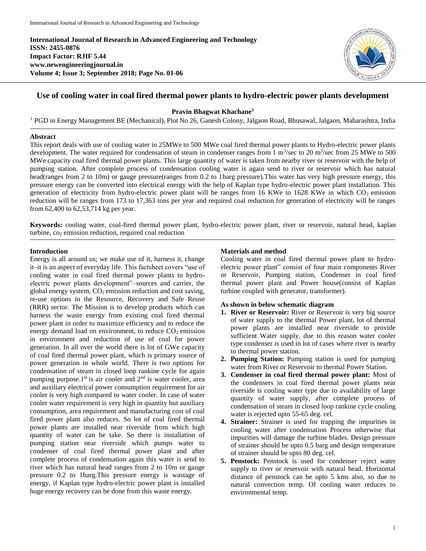**International Journal of Research in Advanced Engineering and Technology ISSN: 2455-0876 Impact Factor: RJIF 5.44 www.newengineeringjournal.in Volume 4; Issue 3; September 2018; Page No. 01-06**



# **Use of cooling water in coal fired thermal power plants to hydro-electric power plants development**

**Pravin Bhagwat Khachane<sup>1</sup>**

<sup>1</sup> PGD in Energy Management BE (Mechanical), Plot No 26, Ganesh Colony, Jalgaon Road, Bhusawal, Jalgaon, Maharashtra, India

#### **Abstract**

This report deals with use of cooling water in 25MWe to 500 MWe coal fired thermal power plants to Hydro-electric power plants development. The water required for condensation of steam in condenser ranges from  $1 \text{ m}^3/\text{sec}$  to  $20 \text{ m}^3/\text{sec}$  from  $25 \text{ MWe}$  to  $500$ MWe capacity coal fired thermal power plants. This large quantity of water is taken from nearby river or reservoir with the help of pumping station. After complete process of condensation cooling water is again send to river or reservoir which has natural head(ranges from 2 to 10m) or gauge pressure(ranges from 0.2 to 1barg pressure).This water has very high pressure energy, this pressure energy can be converted into electrical energy with the help of Kaplan type hydro-electric power plant installation. This generation of electricity from hydro-electric power plant will be ranges from 16 KWe to 1628 KWe in which CO<sub>2</sub> emission reduction will be ranges from 173 to 17,363 tons per year and required coal reduction for generation of electricity will be ranges from 62,400 to 62,53,714 kg per year.

**Keywords:** cooling water, coal-fired thermal power plant, hydro-electric power plant, river or reservoir, natural head, kaplan turbine, co<sub>2</sub> emission reduction, required coal reduction

## **Introduction**

Energy is all around us; we make use of it, harness it, change it–it is an aspect of everyday life. This factsheet covers "use of cooling water in coal fired thermal power plants to hydroelectric power plants development"–sources and carrier, the global energy system,  $CO<sub>2</sub>$  emission reduction and cost saving, re-use options in the Resource, Recovery and Safe Reuse (RRR) sector. The Mission is to develop products which can harness the waste energy from existing coal fired thermal power plant in order to maximize efficiency and to reduce the energy demand load on environment, to reduce  $CO<sub>2</sub>$  emission in environment and reduction of use of coal for power generation. In all over the world there is lot of GWe capacity of coal fired thermal power plant, which is primary source of power generation in whole world. There is two options for condensation of steam in closed loop rankine cycle for again pumping purpose.1st is air cooler and  $2<sup>nd</sup>$  is water cooler, area and auxiliary electrical power consumption requirement for air cooler is very high compared to water cooler. In case of water cooler water requirement is very high in quantity but auxiliary consumption, area requirement and manufacturing cost of coal fired power plant also reduces. So lot of coal fired thermal power plants are installed near riverside from which high quantity of water can be take. So there is installation of pumping station near riverside which pumps water to condenser of coal fired thermal power plant and after complete process of condensation again this water is send to river which has natural head ranges from 2 to 10m or gauge pressure 0.2 to 1barg.This pressure energy is wastage of energy, if Kaplan type hydro-electric power plant is installed huge energy recovery can be done from this waste energy.

## **Materials and method**

Cooling water in coal fired thermal power plant to hydroelectric power plant" consist of four main components River or Reservoir, Pumping station, Condenser in coal fired thermal power plant and Power house(consist of Kaplan turbine coupled with generator, transformer).

## **As shown in below schematic diagram**

- **1. River or Reservoir:** River or Reservoir is very big source of water supply to the thermal Power plant, lot of thermal power plants are installed near riverside to provide sufficient Water supply, due to this reason water cooler type condenser is used in lot of cases where river is nearby to thermal power station.
- **2. Pumping Station:** Pumping station is used for pumping water from River or Reservoir to thermal Power Station.
- **3. Condenser in coal fired thermal power plant:** Most of the condensers in coal fired thermal power plants near riverside is cooling water type due to availability of large quantity of water supply, after complete process of condensation of steam in closed loop rankine cycle cooling water is rejected upto 55-65 deg. cel.
- **4. Strainer:** Strainer is used for trapping the impurities in cooling water after condensation Process otherwise that impurities will damage the turbine blades. Design pressure of strainer should be upto 0.5 barg and design temperature of strainer should be upto 80 deg. cel.
- **5. Penstock:** Penstock is used for condenser reject water supply to river or reservoir with natural head. Horizontal distance of penstock can be upto 5 kms also, so due to natural convection temp. Of cooling water reduces to environmental temp.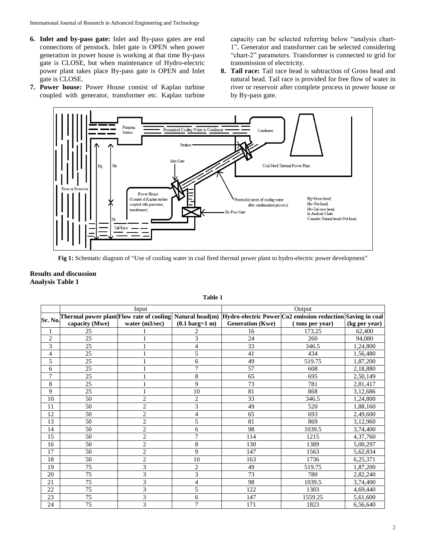- **6. Inlet and by-pass gate:** Inlet and By-pass gates are end connections of penstock. Inlet gate is OPEN when power generation in power house is working at that time By-pass gate is CLOSE, but when maintenance of Hydro-electric power plant takes place By-pass gate is OPEN and Inlet gate is CLOSE.
- **7. Power house:** Power House consist of Kaplan turbine coupled with generator, transformer etc. Kaplan turbine

capacity can be selected referring below "analysis chart-1", Generator and transformer can be selected considering "chart-2" parameters. Transformer is connected to grid for transmission of electricity.

**8. Tail race:** Tail race head is subtraction of Gross head and natural head. Tail race is provided for free flow of water in river or reservoir after complete process in power house or by By-pass gate.



Fig 1: Schematic diagram of "Use of cooling water in coal fired thermal power plant to hydro-electric power development"

## **Results and discussion Analysis Table 1**

|                | Input          |                             |                                  | Output                  |                                                                                                                       |               |
|----------------|----------------|-----------------------------|----------------------------------|-------------------------|-----------------------------------------------------------------------------------------------------------------------|---------------|
|                |                |                             |                                  |                         | Thermal power plant[Flow rate of cooling] Natural head(m)  Hydro-electric Power Co2 emission reduction Saving in coal |               |
| Sr. No.        | capacity (Mwe) | water (m3/sec)              | $(0.1 \text{ barg}=1 \text{ m})$ | <b>Generation</b> (Kwe) | (tons per year)                                                                                                       | (kg per year) |
| 1              | 25             |                             | 2                                | 16                      | 173.25                                                                                                                | 62,400        |
| $\overline{c}$ | 25             |                             | 3                                | 24                      | 260                                                                                                                   | 94.080        |
| 3              | 25             |                             | 4                                | 33                      | 346.5                                                                                                                 | 1,24,800      |
| $\overline{4}$ | 25             |                             | 5                                | 41                      | 434                                                                                                                   | 1,56,480      |
| 5              | 25             |                             | 6                                | 49                      | 519.75                                                                                                                | 1,87,200      |
| 6              | 25             |                             | $\overline{7}$                   | 57                      | 608                                                                                                                   | 2,18,880      |
| 7              | 25             |                             | $\,$ 8 $\,$                      | 65                      | 695                                                                                                                   | 2,50,149      |
| 8              | 25             |                             | 9                                | 73                      | 781                                                                                                                   | 2,81,417      |
| 9              | 25             |                             | 10                               | 81                      | 868                                                                                                                   | 3,12,686      |
| 10             | 50             | $\overline{2}$              | $\mathbf{2}$                     | 33                      | 346.5                                                                                                                 | 1,24,800      |
| 11             | 50             | $\overline{c}$              | 3                                | 49                      | 520                                                                                                                   | 1,88,160      |
| 12             | 50             | $\overline{2}$              | 4                                | 65                      | 693                                                                                                                   | 2,49,600      |
| 13             | 50             | $\overline{c}$              | 5                                | 81                      | 869                                                                                                                   | 3,12,960      |
| 14             | 50             | $\overline{c}$              | 6                                | 98                      | 1039.5                                                                                                                | 3,74,400      |
| 15             | 50             | $\overline{2}$              | $\tau$                           | 114                     | 1215                                                                                                                  | 4,37,760      |
| 16             | 50             | $\overline{c}$              | 8                                | 130                     | 1389                                                                                                                  | 5,00,297      |
| 17             | 50             | $\sqrt{2}$                  | 9                                | 147                     | 1563                                                                                                                  | 5,62,834      |
| 18             | 50             | $\overline{c}$              | 10                               | 163                     | 1736                                                                                                                  | 6,25,371      |
| 19             | 75             | 3                           | 2                                | 49                      | 519.75                                                                                                                | 1,87,200      |
| 20             | 75             | 3                           | 3                                | 73                      | 780                                                                                                                   | 2,82,240      |
| 21             | 75             | 3                           | 4                                | 98                      | 1039.5                                                                                                                | 3,74,400      |
| 22             | 75             | $\ensuremath{\mathfrak{Z}}$ | 5                                | 122                     | 1303                                                                                                                  | 4,69,440      |
| 23             | 75             | $\overline{3}$              | 6                                | 147                     | 1559.25                                                                                                               | 5,61,600      |
| 24             | 75             | $\overline{3}$              | $\overline{7}$                   | 171                     | 1823                                                                                                                  | 6,56,640      |

#### **Table 1**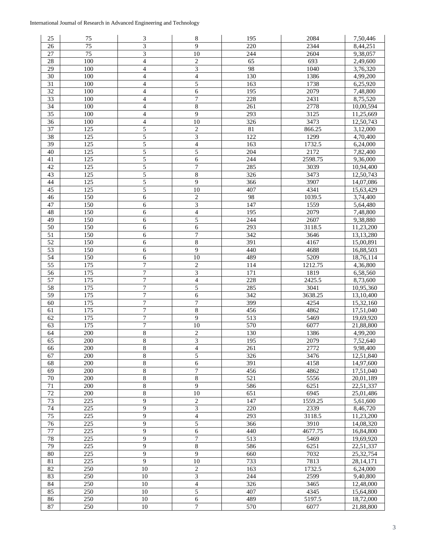| 25              | 75               | $\ensuremath{\mathfrak{Z}}$ | 8                        | 195              | 2084    | 7,50,446  |
|-----------------|------------------|-----------------------------|--------------------------|------------------|---------|-----------|
| 26              | $\overline{75}$  | $\overline{3}$              | 9                        | 220              | 2344    | 8,44,251  |
| 27              | $\overline{75}$  | 3                           | 10                       | 244              | 2604    | 9,38,057  |
| 28              | $\overline{100}$ | $\overline{\mathcal{L}}$    | $\boldsymbol{2}$         | $\overline{65}$  | 693     | 2,49,600  |
| 29              | 100              | 4                           | $\overline{3}$           | 98               | 1040    | 3,76,320  |
| 30              | 100              | 4                           | $\overline{4}$           | 130              | 1386    | 4,99,200  |
| 31              | 100              | 4                           | 5                        | 163              | 1738    | 6,25,920  |
| 32              | 100              | 4                           | 6                        | 195              | 2079    | 7,48,800  |
| 33              | 100              | $\overline{4}$              | $\boldsymbol{7}$         | 228              | 2431    | 8,75,520  |
| 34              | 100              | 4                           | $\,8\,$                  | 261              | 2778    | 10,00,594 |
| 35              | 100              | $\overline{\mathcal{L}}$    | $\overline{9}$           | 293              | 3125    | 11,25,669 |
| 36              | 100              | $\overline{\mathcal{L}}$    | 10                       | 326              | 3473    | 12,50,743 |
| 37              | 125              | 5                           | $\overline{c}$           | 81               | 866.25  | 3,12,000  |
| 38              | 125              | 5                           | 3                        | 122              | 1299    | 4,70,400  |
| 39              | $\overline{125}$ | 5                           | $\overline{4}$           | 163              | 1732.5  | 6,24,000  |
| 40              | 125              | 5                           | 5                        | $\overline{204}$ | 2172    | 7,82,400  |
| 41              | $\overline{125}$ | 5                           | 6                        | 244              | 2598.75 | 9,36,000  |
| 42              | 125              | 5                           | 7                        | 285              | 3039    | 10,94,400 |
| 43              | 125              | 5                           | $\,8\,$                  | 326              | 3473    | 12,50,743 |
| 44              | 125              | 5                           | $\overline{9}$           | 366              | 3907    | 14,07,086 |
| 45              | 125              | 5                           | 10                       | 407              | 4341    | 15,63,429 |
| 46              | 150              | 6                           | $\sqrt{2}$               | 98               | 1039.5  | 3,74,400  |
| 47              | 150              | 6                           | $\mathfrak{Z}$           | 147              | 1559    | 5,64,480  |
| 48              | 150              | 6                           | $\overline{4}$           | 195              | 2079    | 7,48,800  |
| 49              | 150              | 6                           | 5                        | 244              | 2607    | 9,38,880  |
| 50              | 150              | 6                           | 6                        | 293              | 3118.5  | 11,23,200 |
| 51              | 150              | 6                           | $\boldsymbol{7}$         | 342              | 3646    | 13,13,280 |
| $\overline{52}$ | 150              | 6                           | $\overline{8}$           | 391              | 4167    | 15,00,891 |
| 53              | 150              | 6                           | 9                        | 440              | 4688    | 16,88,503 |
| $\overline{54}$ | 150              | 6                           | $\overline{10}$          | 489              | 5209    | 18,76,114 |
| $\overline{55}$ | $\overline{175}$ | $\overline{7}$              | $\sqrt{2}$               | 114              | 1212.75 | 4,36,800  |
| $\overline{56}$ | $\overline{175}$ | 7                           | $\overline{\mathbf{3}}$  | $\overline{171}$ | 1819    | 6,58,560  |
| 57              | 175              | $\boldsymbol{7}$            | $\overline{4}$           | 228              | 2425.5  | 8,73,600  |
| $\overline{58}$ | $\overline{175}$ | $\boldsymbol{7}$            | 5                        | 285              | 3041    | 10,95,360 |
| 59              | 175              | 7                           | 6                        | 342              | 3638.25 | 13,10,400 |
| 60              | 175              | 7                           | 7                        | 399              | 4254    | 15,32,160 |
| 61              | 175              | 7                           | $\overline{8}$           | 456              | 4862    | 17,51,040 |
| 62              | 175              | $\boldsymbol{7}$            | $\overline{9}$           | 513              | 5469    | 19,69,920 |
| 63              | 175              | $\overline{7}$              | 10                       | 570              | 6077    | 21,88,800 |
| 64              | 200              | $\,$ 8 $\,$                 | $\boldsymbol{2}$         | 130              | 1386    | 4,99,200  |
| 65              | 200              | $\overline{8}$              | $\overline{\mathbf{3}}$  | 195              | 2079    | 7,52,640  |
| 66              | 200              | $\overline{\bf 8}$          | $\overline{\mathcal{L}}$ | 261              | 2772    | 9,98,400  |
| 67              | 200              | $\,$ 8 $\,$                 | 5                        | 326              | 3476    | 12,51,840 |
| 68              | 200              | 8                           | 6                        | 391              | 4158    | 14,97,600 |
| 69              | 200              | $\,8\,$                     | $\tau$                   | 456              | 4862    | 17,51,040 |
| 70              | 200              | $\,8\,$                     | $\overline{8}$           | 521              | 5556    | 20,01,189 |
| $\overline{71}$ | 200              | $\overline{\bf 8}$          | $\overline{9}$           | 586              | 6251    | 22,51,337 |
| $\overline{72}$ | 200              | $\,$ 8 $\,$                 | $\overline{10}$          | 651              | 6945    | 25,01,486 |
| $\overline{73}$ | $\overline{225}$ | $\overline{9}$              | $\overline{c}$           | $\overline{147}$ | 1559.25 | 5,61,600  |
| 74              | 225              | 9                           | $\overline{\mathbf{3}}$  | $\overline{220}$ | 2339    | 8,46,720  |
| $\overline{75}$ | 225              | 9                           | $\overline{4}$           | $\overline{293}$ | 3118.5  | 11,23,200 |
| 76              | 225              | 9                           | 5                        | 366              | 3910    | 14,08,320 |
| $\overline{77}$ | $\overline{225}$ | 9                           | $\overline{6}$           | 440              | 4677.75 | 16,84,800 |
| 78              | 225              | 9                           | $\overline{7}$           | 513              | 5469    | 19,69,920 |
| 79              | 225              | 9                           | $\,8\,$                  | 586              | 6251    | 22,51,337 |
| 80              | 225              | 9                           | $\overline{9}$           | 660              | 7032    | 25,32,754 |
| 81              | 225              | 9                           | $10\,$                   | 733              | 7813    | 28,14,171 |
| 82              | 250              | 10                          | $\overline{c}$           | 163              | 1732.5  | 6,24,000  |
| 83              | 250              | 10                          | 3                        | 244              | 2599    | 9,40,800  |
| 84              | 250              | 10                          | $\overline{\mathbf{4}}$  | 326              | 3465    | 12,48,000 |
| 85              | 250              | 10                          | 5                        | 407              | 4345    | 15,64,800 |
| 86              | 250              | $\overline{10}$             | $\overline{6}$           | 489              | 5197.5  | 18,72,000 |
| 87              | 250              | $\overline{10}$             | $\overline{7}$           | 570              | 6077    | 21,88,800 |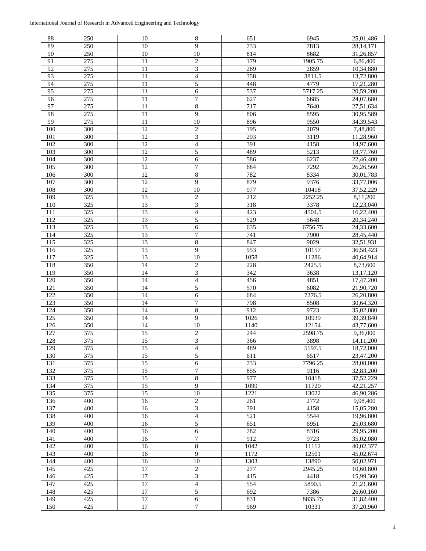| 88              | 250              | 10              | 8                        | 651              | 6945              | 25,01,486   |
|-----------------|------------------|-----------------|--------------------------|------------------|-------------------|-------------|
| 89              | 250              | 10              | 9                        | 733              | 7813              | 28, 14, 171 |
| 90              | 250              | 10              | 10                       | 814              | 8682              | 31,26,857   |
| 91              | $\overline{275}$ | 11              | $\sqrt{2}$               | $\overline{179}$ | 1905.75           | 6,86,400    |
| $\overline{92}$ | 275              | $\overline{11}$ | $\overline{3}$           | 269              | 2859              | 10,34,880   |
| 93              | 275              | 11              | $\overline{\mathcal{L}}$ | 358              | 3811.5            | 13,72,800   |
| 94              | $\overline{275}$ | $\overline{11}$ | 5                        | 448              | 4779              | 17,21,280   |
| 95              | 275              | 11              | $\sqrt{6}$               | 537              | 5717.25           | 20,59,200   |
| 96              | 275              | 11              | 7                        | 627              | 6685              | 24,07,680   |
| 97              | 275              | 11              | $8\,$                    | 717              | 7640              | 27,51,634   |
| 98              | 275              | 11              | 9                        | 806              | 8595              |             |
|                 |                  |                 |                          |                  |                   | 30,95,589   |
| 99              | 275              | 11              | 10                       | 896              | 9550              | 34, 39, 543 |
| 100             | 300              | 12              | $\boldsymbol{2}$         | 195              | 2079              | 7,48,800    |
| 101             | 300              | 12              | $\overline{\mathbf{3}}$  | 293              | 3119              | 11,28,960   |
| 102             | $\overline{300}$ | $\overline{12}$ | $\overline{\mathbf{4}}$  | 391              | 4158              | 14,97,600   |
| 103             | 300              | 12              | 5                        | 489              | $\overline{5213}$ | 18,77,760   |
| 104             | 300              | $\overline{12}$ | 6                        | 586              | 6237              | 22,46,400   |
| 105             | 300              | $\overline{12}$ | 7                        | 684              | 7292              | 26,26,560   |
| 106             | 300              | 12              | 8                        | 782              | 8334              | 30,01,783   |
| 107             | $\overline{300}$ | $\overline{12}$ | $\overline{9}$           | 879              | 9376              | 33,77,006   |
| 108             | 300              | $\overline{12}$ | $\overline{10}$          | 977              | 10418             | 37,52,229   |
| 109             | 325              | 13              | $\overline{2}$           | $\overline{212}$ | 2252.25           | 8,11,200    |
| 110             | 325              | 13              | 3                        | 318              | 3378              | 12,23,040   |
| 111             | 325              | 13              | 4                        | 423              | 4504.5            | 16,22,400   |
| 112             | 325              | 13              | 5                        | 529              | 5648              | 20,34,240   |
| 113             | 325              | $\overline{13}$ | 6                        | 635              | 6756.75           | 24,33,600   |
| 114             | 325              | $\overline{13}$ | $\overline{7}$           | 741              | 7900              | 28,45,440   |
| 115             | 325              | $\overline{13}$ | 8                        | 847              | 9029              | 32,51,931   |
| 116             | 325              | 13              | 9                        | 953              | 10157             | 36,58,423   |
| 117             | 325              | 13              | 10                       | 1058             | 11286             | 40,64,914   |
| 118             | 350              | 14              | $\overline{2}$           | 228              | 2425.5            | 8,73,600    |
| 119             | $\overline{350}$ | 14              | $\overline{\mathbf{3}}$  | $\overline{342}$ | 3638              | 13, 17, 120 |
| 120             | 350              | $\overline{14}$ | $\overline{4}$           | 456              | 4851              | 17,47,200   |
| 121             | 350              | 14              | 5                        | 570              | 6082              | 21,90,720   |
| 122             | 350              | $\overline{14}$ | $\overline{6}$           | 684              | 7276.5            | 26,20,800   |
|                 |                  | 14              |                          | 798              | 8508              |             |
| 123             | 350              |                 | 7<br>$\overline{8}$      | 912              | 9723              | 30,64,320   |
| 124             | 350              | 14              |                          |                  |                   | 35,02,080   |
| 125             | 350              | 14              | $\overline{9}$           | 1026             | 10939             | 39,39,840   |
| 126             | 350              | 14              | $10\,$                   | 1140             | 12154             | 43,77,600   |
| 127             | 375              | 15              | $\sqrt{2}$               | 244              | 2598.75           | 9,36,000    |
| 128             | 375              | 15              | 3                        | 366              | 3898              | 14,11,200   |
| 129             | 375              | 15              | $\overline{\mathbf{4}}$  | 489              | 5197.5            | 18,72,000   |
| 130             | 375              | 15              | 5                        | 611              | 6517              | 23,47,200   |
| 131             | 375              | 15              | 6                        | 733              | 7796.25           | 28,08,000   |
| 132             | 375              | 15              | 7                        | 855              | 9116              | 32,83,200   |
| 133             | 375              | $\overline{15}$ | $\sqrt{8}$               | 977              | 10418             | 37,52,229   |
| 134             | 375              | $\overline{15}$ | $\overline{9}$           | 1099             | 11720             | 42, 21, 257 |
| 135             | $\overline{375}$ | $\overline{15}$ | 10                       | 1221             | 13022             | 46,90,286   |
| 136             | 400              | 16              | $\sqrt{2}$               | 261              | 2772              | 9,98,400    |
| 137             | 400              | 16              | $\overline{\mathbf{3}}$  | 391              | 4158              | 15,05,280   |
| 138             | 400              | $\overline{16}$ | $\overline{4}$           | 521              | 5544              | 19,96,800   |
| 139             | 400              | $\overline{16}$ | 5                        | 651              | 6951              | 25,03,680   |
| 140             | 400              | 16              | 6                        | 782              | 8316              | 29,95,200   |
| 141             | 400              | 16              | $\boldsymbol{7}$         | 912              | 9723              | 35,02,080   |
| 142             | 400              | 16              | $8\,$                    | 1042             | 11112             | 40,02,377   |
| 143             | 400              | 16              | $\boldsymbol{9}$         | 1172             | 12501             | 45,02,674   |
| 144             | 400              | 16              | $\overline{10}$          | 1303             | 13890             | 50,02,971   |
| 145             | 425              | 17              | $\boldsymbol{2}$         | 277              | 2945.25           | 10,60,800   |
| 146             | 425              | $\overline{17}$ | $\overline{\mathbf{3}}$  | 415              | 4418              | 15,99,360   |
| 147             | 425              | 17              | $\overline{4}$           | 554              | 5890.5            | 21,21,600   |
| 148             | 425              | 17              | 5                        | 692              | 7386              | 26,60,160   |
| 149             | 425              | $17\,$          | 6                        | 831              | 8835.75           | 31,82,400   |
| 150             | $\overline{425}$ | 17              | 7                        | 969              | 10331             | 37,20,960   |
|                 |                  |                 |                          |                  |                   |             |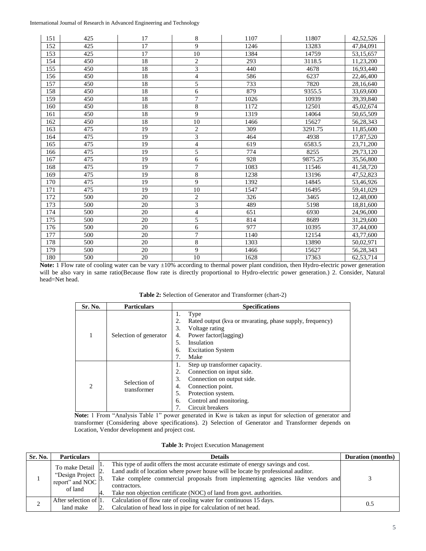| 151 | 425 | 17              | 8                        | 1107 | 11807   | 42,52,526 |
|-----|-----|-----------------|--------------------------|------|---------|-----------|
| 152 | 425 | $\overline{17}$ | 9                        | 1246 | 13283   | 47,84,091 |
| 153 | 425 | 17              | 10                       | 1384 | 14759   | 53,15,657 |
| 154 | 450 | 18              | $\boldsymbol{2}$         | 293  | 3118.5  | 11,23,200 |
| 155 | 450 | 18              | $\overline{3}$           | 440  | 4678    | 16,93,440 |
| 156 | 450 | 18              | $\overline{4}$           | 586  | 6237    | 22,46,400 |
| 157 | 450 | $\overline{18}$ | 5                        | 733  | 7820    | 28,16,640 |
| 158 | 450 | 18              | 6                        | 879  | 9355.5  | 33,69,600 |
| 159 | 450 | 18              | $\tau$                   | 1026 | 10939   | 39,39,840 |
| 160 | 450 | 18              | 8                        | 1172 | 12501   | 45,02,674 |
| 161 | 450 | 18              | 9                        | 1319 | 14064   | 50,65,509 |
| 162 | 450 | 18              | 10                       | 1466 | 15627   | 56,28,343 |
| 163 | 475 | 19              | $\mathbf{2}$             | 309  | 3291.75 | 11,85,600 |
| 164 | 475 | 19              | 3                        | 464  | 4938    | 17,87,520 |
| 165 | 475 | 19              | $\overline{4}$           | 619  | 6583.5  | 23,71,200 |
| 166 | 475 | 19              | 5                        | 774  | 8255    | 29,73,120 |
| 167 | 475 | 19              | 6                        | 928  | 9875.25 | 35,56,800 |
| 168 | 475 | 19              | $\overline{7}$           | 1083 | 11546   | 41,58,720 |
| 169 | 475 | 19              | $\overline{8}$           | 1238 | 13196   | 47,52,823 |
| 170 | 475 | 19              | 9                        | 1392 | 14845   | 53,46,926 |
| 171 | 475 | 19              | 10                       | 1547 | 16495   | 59,41,029 |
| 172 | 500 | 20              | $\mathbf{2}$             | 326  | 3465    | 12,48,000 |
| 173 | 500 | $\overline{20}$ | $\overline{\mathbf{3}}$  | 489  | 5198    | 18,81,600 |
| 174 | 500 | 20              | $\overline{\mathcal{L}}$ | 651  | 6930    | 24,96,000 |
| 175 | 500 | 20              | 5                        | 814  | 8689    | 31,29,600 |
| 176 | 500 | 20              | 6                        | 977  | 10395   | 37,44,000 |
| 177 | 500 | 20              | $\overline{7}$           | 1140 | 12154   | 43,77,600 |
| 178 | 500 | 20              | 8                        | 1303 | 13890   | 50,02,971 |
| 179 | 500 | 20              | 9                        | 1466 | 15627   | 56,28,343 |
| 180 | 500 | $\overline{20}$ | 10                       | 1628 | 17363   | 62,53,714 |

Note: 1 Flow rate of cooling water can be vary  $\pm 10\%$  according to thermal power plant condition, then Hydro-electric power generation will be also vary in same ratio(Because flow rate is directly proportional to Hydro-electric power generation.) 2. Consider, Natural head=Net head.

**Table 2:** Selection of Generator and Transformer (chart-2)

| Sr. No.                       | <b>Particulars</b>          | <b>Specifications</b>                                                                                                                                                                                                  |
|-------------------------------|-----------------------------|------------------------------------------------------------------------------------------------------------------------------------------------------------------------------------------------------------------------|
|                               | Selection of generator      | Type<br>ı.<br>Rated output (kva or mvarating, phase supply, frequency)<br>2.<br>3.<br>Voltage rating<br>Power factor(lagging)<br>4.<br>Insulation<br>.5.<br><b>Excitation System</b><br>6.<br>7.<br>Make               |
| $\mathfrak{D}_{\mathfrak{p}}$ | Selection of<br>transformer | Step up transformer capacity.<br>1.<br>Connection on input side.<br>2.<br>3.<br>Connection on output side.<br>Connection point.<br>4.<br>5.<br>Protection system.<br>Control and monitoring.<br>6.<br>Circuit breakers |

**Note:** 1 From "Analysis Table 1" power generated in Kwe is taken as input for selection of generator and transformer (Considering above specifications). 2) Selection of Generator and Transformer depends on Location, Vendor development and project cost.

| Table 3: Project Execution Management |  |
|---------------------------------------|--|
|---------------------------------------|--|

| Sr. No. | <b>Particulars</b>                                                             | <b>Details</b>                                                                                                                                                                                                                                                                                                                                 | <b>Duration</b> (months) |
|---------|--------------------------------------------------------------------------------|------------------------------------------------------------------------------------------------------------------------------------------------------------------------------------------------------------------------------------------------------------------------------------------------------------------------------------------------|--------------------------|
|         | To make Detail<br>"Design Project $\int_{2}^{2}$<br>report" and NOC<br>of land | This type of audit offers the most accurate estimate of energy savings and cost.<br>Land audit of location where power house will be locate by professional auditor.<br>Take complete commercial proposals from implementing agencies like vendors and<br>contractors.<br>Take non objection certificate (NOC) of land from govt. authorities. |                          |
|         | After selection of 1.                                                          | Calculation of flow rate of cooling water for continuous 15 days.                                                                                                                                                                                                                                                                              | 0.5                      |
|         | land make                                                                      | Calculation of head loss in pipe for calculation of net head.                                                                                                                                                                                                                                                                                  |                          |